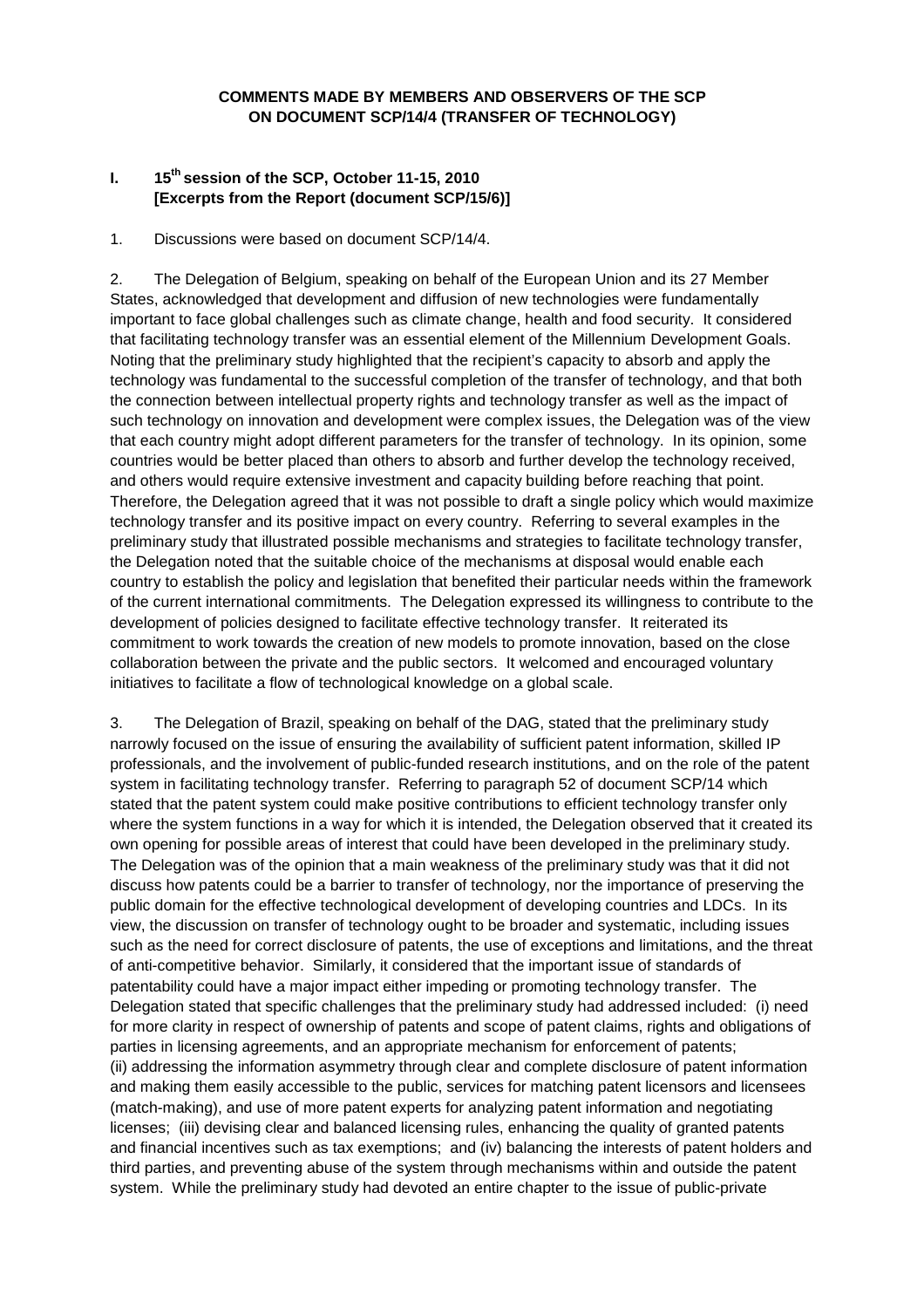## **COMMENTS MADE BY MEMBERS AND OBSERVERS OF THE SCP ON DOCUMENT SCP/14/4 (TRANSFER OF TECHNOLOGY)**

## **I. 15th session of the SCP, October 11-15, 2010 [Excerpts from the Report (document SCP/15/6)]**

## 1. Discussions were based on document SCP/14/4.

2. The Delegation of Belgium, speaking on behalf of the European Union and its 27 Member States, acknowledged that development and diffusion of new technologies were fundamentally important to face global challenges such as climate change, health and food security. It considered that facilitating technology transfer was an essential element of the Millennium Development Goals. Noting that the preliminary study highlighted that the recipient's capacity to absorb and apply the technology was fundamental to the successful completion of the transfer of technology, and that both the connection between intellectual property rights and technology transfer as well as the impact of such technology on innovation and development were complex issues, the Delegation was of the view that each country might adopt different parameters for the transfer of technology. In its opinion, some countries would be better placed than others to absorb and further develop the technology received, and others would require extensive investment and capacity building before reaching that point. Therefore, the Delegation agreed that it was not possible to draft a single policy which would maximize technology transfer and its positive impact on every country. Referring to several examples in the preliminary study that illustrated possible mechanisms and strategies to facilitate technology transfer, the Delegation noted that the suitable choice of the mechanisms at disposal would enable each country to establish the policy and legislation that benefited their particular needs within the framework of the current international commitments. The Delegation expressed its willingness to contribute to the development of policies designed to facilitate effective technology transfer. It reiterated its commitment to work towards the creation of new models to promote innovation, based on the close collaboration between the private and the public sectors. It welcomed and encouraged voluntary initiatives to facilitate a flow of technological knowledge on a global scale.

3. The Delegation of Brazil, speaking on behalf of the DAG, stated that the preliminary study narrowly focused on the issue of ensuring the availability of sufficient patent information, skilled IP professionals, and the involvement of public-funded research institutions, and on the role of the patent system in facilitating technology transfer. Referring to paragraph 52 of document SCP/14 which stated that the patent system could make positive contributions to efficient technology transfer only where the system functions in a way for which it is intended, the Delegation observed that it created its own opening for possible areas of interest that could have been developed in the preliminary study. The Delegation was of the opinion that a main weakness of the preliminary study was that it did not discuss how patents could be a barrier to transfer of technology, nor the importance of preserving the public domain for the effective technological development of developing countries and LDCs. In its view, the discussion on transfer of technology ought to be broader and systematic, including issues such as the need for correct disclosure of patents, the use of exceptions and limitations, and the threat of anti-competitive behavior. Similarly, it considered that the important issue of standards of patentability could have a major impact either impeding or promoting technology transfer. The Delegation stated that specific challenges that the preliminary study had addressed included: (i) need for more clarity in respect of ownership of patents and scope of patent claims, rights and obligations of parties in licensing agreements, and an appropriate mechanism for enforcement of patents; (ii) addressing the information asymmetry through clear and complete disclosure of patent information and making them easily accessible to the public, services for matching patent licensors and licensees (match-making), and use of more patent experts for analyzing patent information and negotiating licenses; (iii) devising clear and balanced licensing rules, enhancing the quality of granted patents and financial incentives such as tax exemptions; and (iv) balancing the interests of patent holders and third parties, and preventing abuse of the system through mechanisms within and outside the patent system. While the preliminary study had devoted an entire chapter to the issue of public-private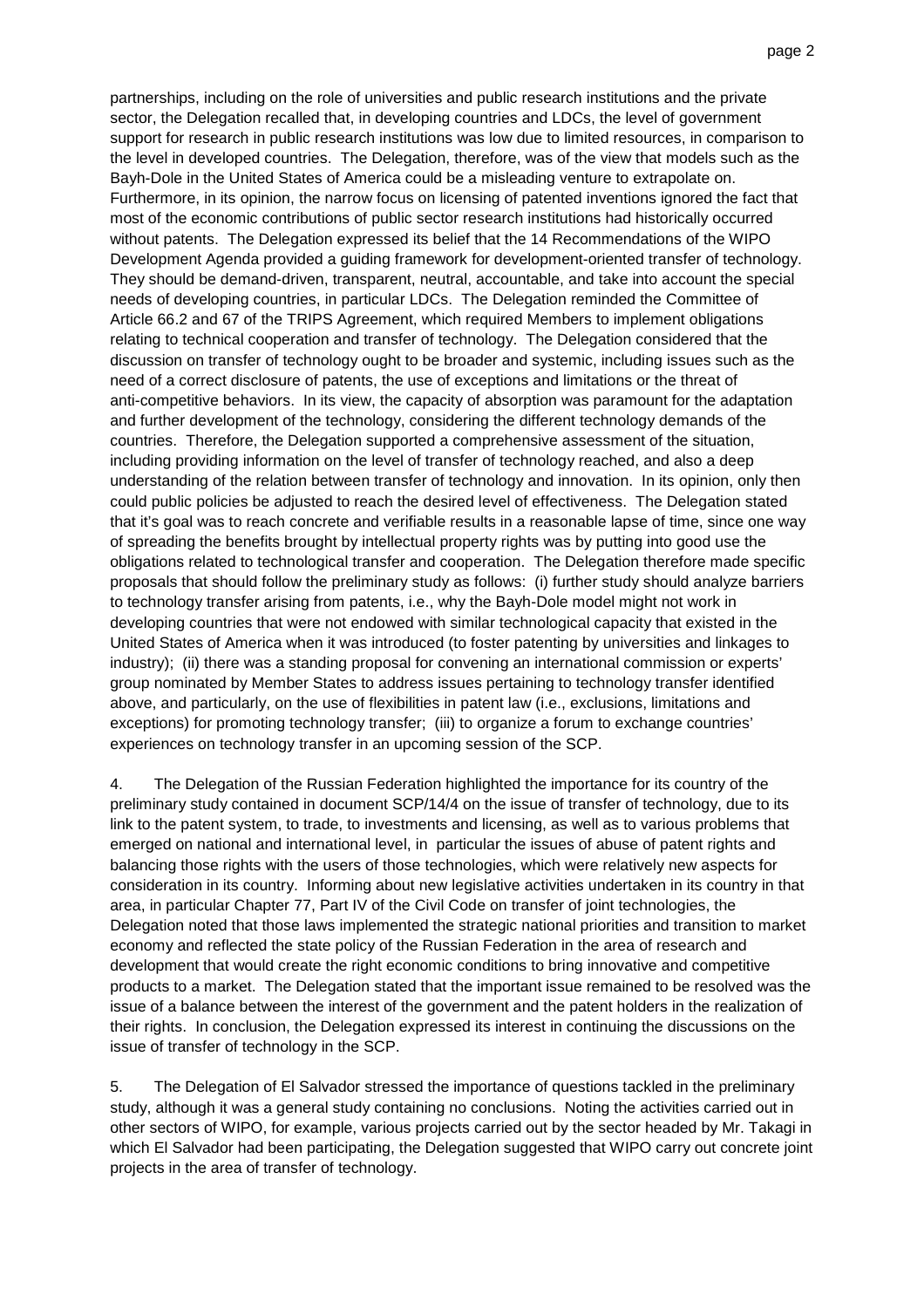partnerships, including on the role of universities and public research institutions and the private sector, the Delegation recalled that, in developing countries and LDCs, the level of government support for research in public research institutions was low due to limited resources, in comparison to the level in developed countries. The Delegation, therefore, was of the view that models such as the Bayh-Dole in the United States of America could be a misleading venture to extrapolate on. Furthermore, in its opinion, the narrow focus on licensing of patented inventions ignored the fact that most of the economic contributions of public sector research institutions had historically occurred without patents. The Delegation expressed its belief that the 14 Recommendations of the WIPO Development Agenda provided a guiding framework for development-oriented transfer of technology. They should be demand-driven, transparent, neutral, accountable, and take into account the special needs of developing countries, in particular LDCs. The Delegation reminded the Committee of Article 66.2 and 67 of the TRIPS Agreement, which required Members to implement obligations relating to technical cooperation and transfer of technology. The Delegation considered that the discussion on transfer of technology ought to be broader and systemic, including issues such as the need of a correct disclosure of patents, the use of exceptions and limitations or the threat of anti-competitive behaviors. In its view, the capacity of absorption was paramount for the adaptation and further development of the technology, considering the different technology demands of the countries. Therefore, the Delegation supported a comprehensive assessment of the situation, including providing information on the level of transfer of technology reached, and also a deep understanding of the relation between transfer of technology and innovation. In its opinion, only then could public policies be adjusted to reach the desired level of effectiveness. The Delegation stated that it's goal was to reach concrete and verifiable results in a reasonable lapse of time, since one way of spreading the benefits brought by intellectual property rights was by putting into good use the obligations related to technological transfer and cooperation. The Delegation therefore made specific proposals that should follow the preliminary study as follows: (i) further study should analyze barriers to technology transfer arising from patents, i.e., why the Bayh-Dole model might not work in developing countries that were not endowed with similar technological capacity that existed in the United States of America when it was introduced (to foster patenting by universities and linkages to industry); (ii) there was a standing proposal for convening an international commission or experts' group nominated by Member States to address issues pertaining to technology transfer identified above, and particularly, on the use of flexibilities in patent law (i.e., exclusions, limitations and exceptions) for promoting technology transfer; (iii) to organize a forum to exchange countries' experiences on technology transfer in an upcoming session of the SCP.

4. The Delegation of the Russian Federation highlighted the importance for its country of the preliminary study contained in document SCP/14/4 on the issue of transfer of technology, due to its link to the patent system, to trade, to investments and licensing, as well as to various problems that emerged on national and international level, in particular the issues of abuse of patent rights and balancing those rights with the users of those technologies, which were relatively new aspects for consideration in its country. Informing about new legislative activities undertaken in its country in that area, in particular Chapter 77, Part IV of the Civil Code on transfer of joint technologies, the Delegation noted that those laws implemented the strategic national priorities and transition to market economy and reflected the state policy of the Russian Federation in the area of research and development that would create the right economic conditions to bring innovative and competitive products to a market. The Delegation stated that the important issue remained to be resolved was the issue of a balance between the interest of the government and the patent holders in the realization of their rights. In conclusion, the Delegation expressed its interest in continuing the discussions on the issue of transfer of technology in the SCP.

5. The Delegation of El Salvador stressed the importance of questions tackled in the preliminary study, although it was a general study containing no conclusions. Noting the activities carried out in other sectors of WIPO, for example, various projects carried out by the sector headed by Mr. Takagi in which El Salvador had been participating, the Delegation suggested that WIPO carry out concrete joint projects in the area of transfer of technology.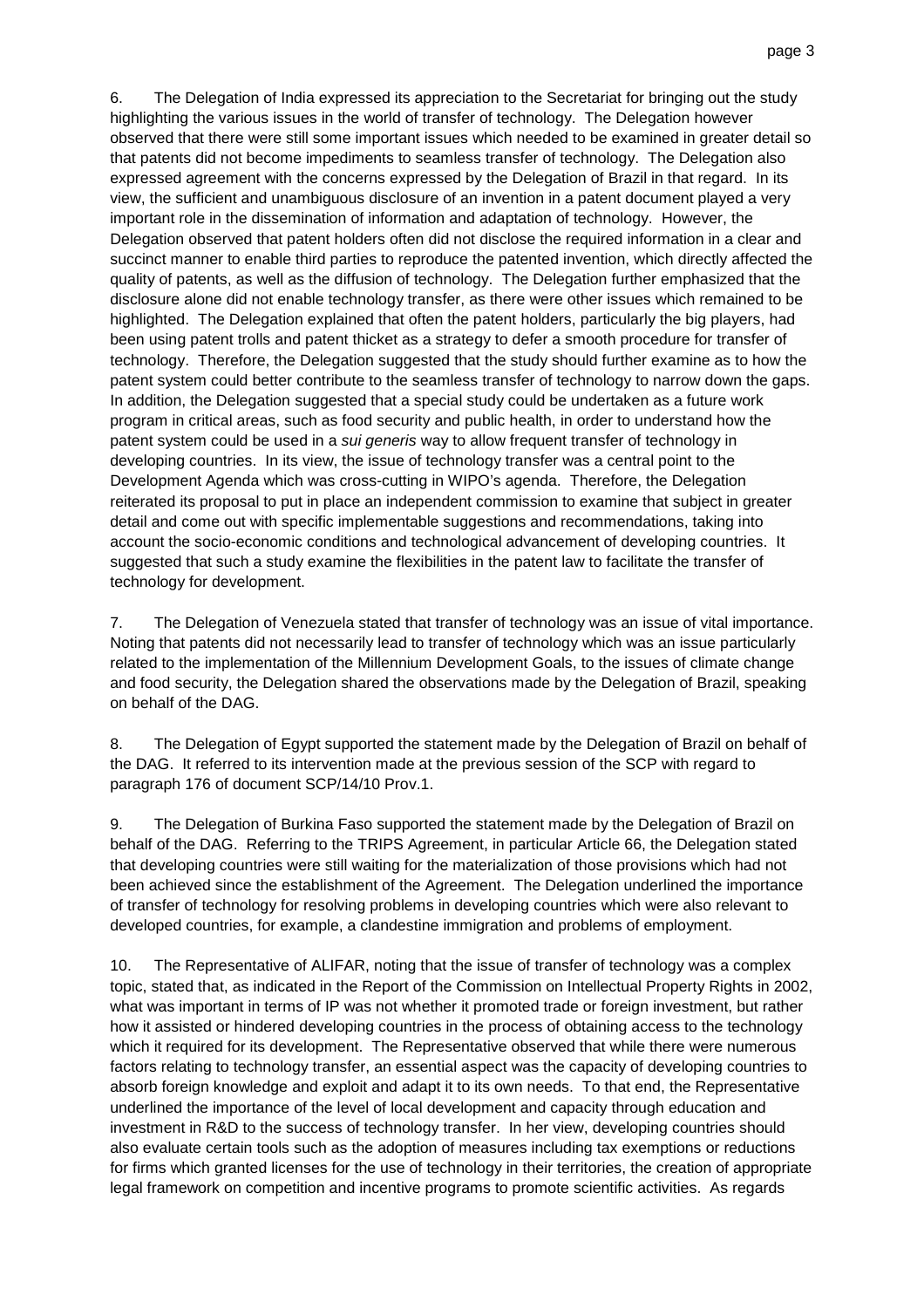6. The Delegation of India expressed its appreciation to the Secretariat for bringing out the study highlighting the various issues in the world of transfer of technology. The Delegation however observed that there were still some important issues which needed to be examined in greater detail so that patents did not become impediments to seamless transfer of technology. The Delegation also expressed agreement with the concerns expressed by the Delegation of Brazil in that regard. In its view, the sufficient and unambiguous disclosure of an invention in a patent document played a very important role in the dissemination of information and adaptation of technology. However, the Delegation observed that patent holders often did not disclose the required information in a clear and succinct manner to enable third parties to reproduce the patented invention, which directly affected the quality of patents, as well as the diffusion of technology. The Delegation further emphasized that the disclosure alone did not enable technology transfer, as there were other issues which remained to be highlighted. The Delegation explained that often the patent holders, particularly the big players, had been using patent trolls and patent thicket as a strategy to defer a smooth procedure for transfer of technology. Therefore, the Delegation suggested that the study should further examine as to how the patent system could better contribute to the seamless transfer of technology to narrow down the gaps. In addition, the Delegation suggested that a special study could be undertaken as a future work program in critical areas, such as food security and public health, in order to understand how the patent system could be used in a sui generis way to allow frequent transfer of technology in developing countries. In its view, the issue of technology transfer was a central point to the Development Agenda which was cross-cutting in WIPO's agenda. Therefore, the Delegation reiterated its proposal to put in place an independent commission to examine that subject in greater detail and come out with specific implementable suggestions and recommendations, taking into account the socio-economic conditions and technological advancement of developing countries. It suggested that such a study examine the flexibilities in the patent law to facilitate the transfer of technology for development.

7. The Delegation of Venezuela stated that transfer of technology was an issue of vital importance. Noting that patents did not necessarily lead to transfer of technology which was an issue particularly related to the implementation of the Millennium Development Goals, to the issues of climate change and food security, the Delegation shared the observations made by the Delegation of Brazil, speaking on behalf of the DAG.

8. The Delegation of Egypt supported the statement made by the Delegation of Brazil on behalf of the DAG. It referred to its intervention made at the previous session of the SCP with regard to paragraph 176 of document SCP/14/10 Prov.1.

9. The Delegation of Burkina Faso supported the statement made by the Delegation of Brazil on behalf of the DAG. Referring to the TRIPS Agreement, in particular Article 66, the Delegation stated that developing countries were still waiting for the materialization of those provisions which had not been achieved since the establishment of the Agreement. The Delegation underlined the importance of transfer of technology for resolving problems in developing countries which were also relevant to developed countries, for example, a clandestine immigration and problems of employment.

10. The Representative of ALIFAR, noting that the issue of transfer of technology was a complex topic, stated that, as indicated in the Report of the Commission on Intellectual Property Rights in 2002, what was important in terms of IP was not whether it promoted trade or foreign investment, but rather how it assisted or hindered developing countries in the process of obtaining access to the technology which it required for its development. The Representative observed that while there were numerous factors relating to technology transfer, an essential aspect was the capacity of developing countries to absorb foreign knowledge and exploit and adapt it to its own needs. To that end, the Representative underlined the importance of the level of local development and capacity through education and investment in R&D to the success of technology transfer. In her view, developing countries should also evaluate certain tools such as the adoption of measures including tax exemptions or reductions for firms which granted licenses for the use of technology in their territories, the creation of appropriate legal framework on competition and incentive programs to promote scientific activities. As regards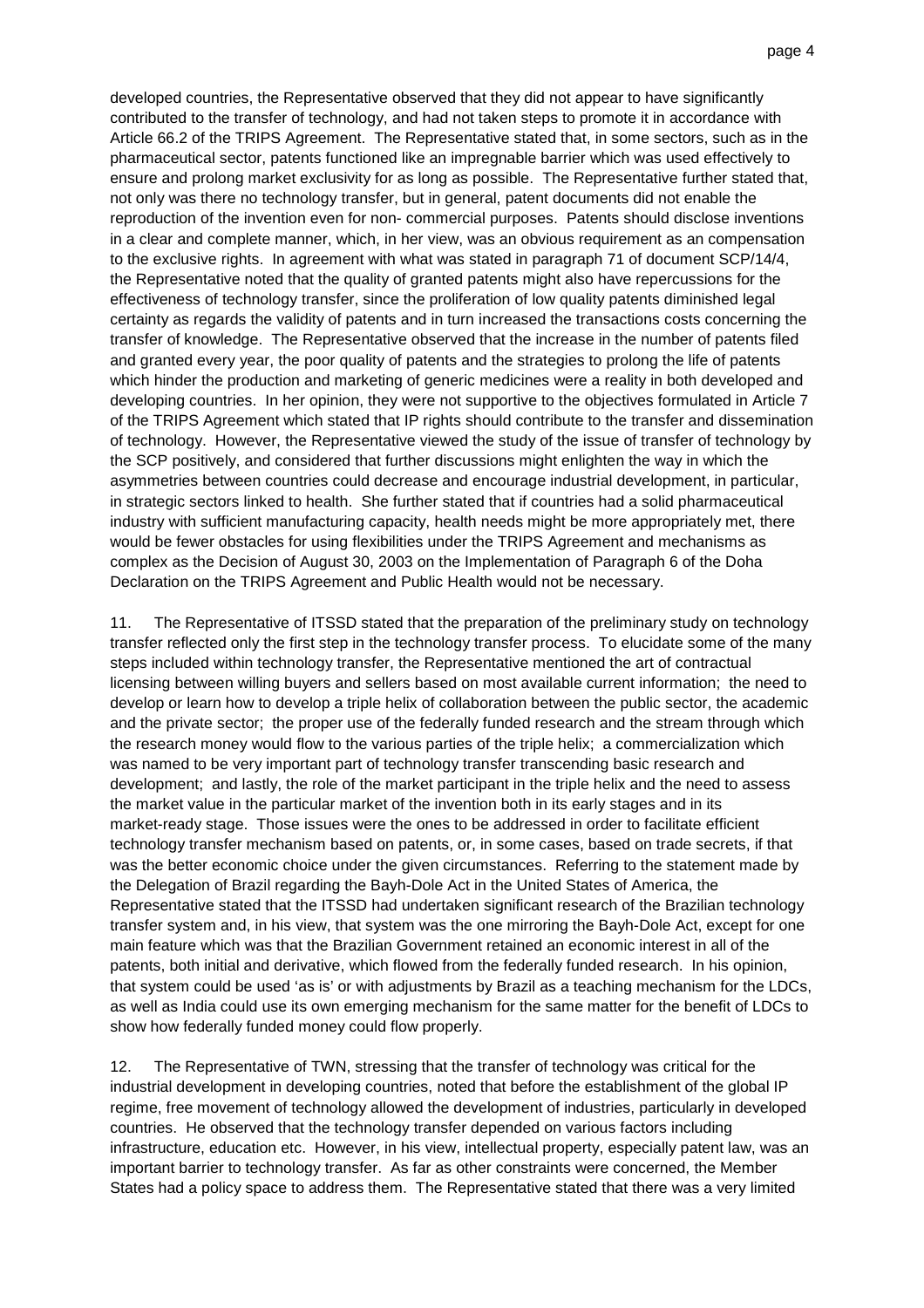developed countries, the Representative observed that they did not appear to have significantly contributed to the transfer of technology, and had not taken steps to promote it in accordance with Article 66.2 of the TRIPS Agreement. The Representative stated that, in some sectors, such as in the pharmaceutical sector, patents functioned like an impregnable barrier which was used effectively to ensure and prolong market exclusivity for as long as possible. The Representative further stated that, not only was there no technology transfer, but in general, patent documents did not enable the reproduction of the invention even for non- commercial purposes. Patents should disclose inventions in a clear and complete manner, which, in her view, was an obvious requirement as an compensation to the exclusive rights. In agreement with what was stated in paragraph 71 of document SCP/14/4, the Representative noted that the quality of granted patents might also have repercussions for the effectiveness of technology transfer, since the proliferation of low quality patents diminished legal certainty as regards the validity of patents and in turn increased the transactions costs concerning the transfer of knowledge. The Representative observed that the increase in the number of patents filed and granted every year, the poor quality of patents and the strategies to prolong the life of patents which hinder the production and marketing of generic medicines were a reality in both developed and developing countries. In her opinion, they were not supportive to the objectives formulated in Article 7 of the TRIPS Agreement which stated that IP rights should contribute to the transfer and dissemination of technology. However, the Representative viewed the study of the issue of transfer of technology by the SCP positively, and considered that further discussions might enlighten the way in which the asymmetries between countries could decrease and encourage industrial development, in particular, in strategic sectors linked to health. She further stated that if countries had a solid pharmaceutical industry with sufficient manufacturing capacity, health needs might be more appropriately met, there would be fewer obstacles for using flexibilities under the TRIPS Agreement and mechanisms as complex as the Decision of August 30, 2003 on the Implementation of Paragraph 6 of the Doha Declaration on the TRIPS Agreement and Public Health would not be necessary.

11. The Representative of ITSSD stated that the preparation of the preliminary study on technology transfer reflected only the first step in the technology transfer process. To elucidate some of the many steps included within technology transfer, the Representative mentioned the art of contractual licensing between willing buyers and sellers based on most available current information; the need to develop or learn how to develop a triple helix of collaboration between the public sector, the academic and the private sector; the proper use of the federally funded research and the stream through which the research money would flow to the various parties of the triple helix; a commercialization which was named to be very important part of technology transfer transcending basic research and development; and lastly, the role of the market participant in the triple helix and the need to assess the market value in the particular market of the invention both in its early stages and in its market-ready stage. Those issues were the ones to be addressed in order to facilitate efficient technology transfer mechanism based on patents, or, in some cases, based on trade secrets, if that was the better economic choice under the given circumstances. Referring to the statement made by the Delegation of Brazil regarding the Bayh-Dole Act in the United States of America, the Representative stated that the ITSSD had undertaken significant research of the Brazilian technology transfer system and, in his view, that system was the one mirroring the Bayh-Dole Act, except for one main feature which was that the Brazilian Government retained an economic interest in all of the patents, both initial and derivative, which flowed from the federally funded research. In his opinion, that system could be used 'as is' or with adjustments by Brazil as a teaching mechanism for the LDCs, as well as India could use its own emerging mechanism for the same matter for the benefit of LDCs to show how federally funded money could flow properly.

12. The Representative of TWN, stressing that the transfer of technology was critical for the industrial development in developing countries, noted that before the establishment of the global IP regime, free movement of technology allowed the development of industries, particularly in developed countries. He observed that the technology transfer depended on various factors including infrastructure, education etc. However, in his view, intellectual property, especially patent law, was an important barrier to technology transfer. As far as other constraints were concerned, the Member States had a policy space to address them. The Representative stated that there was a very limited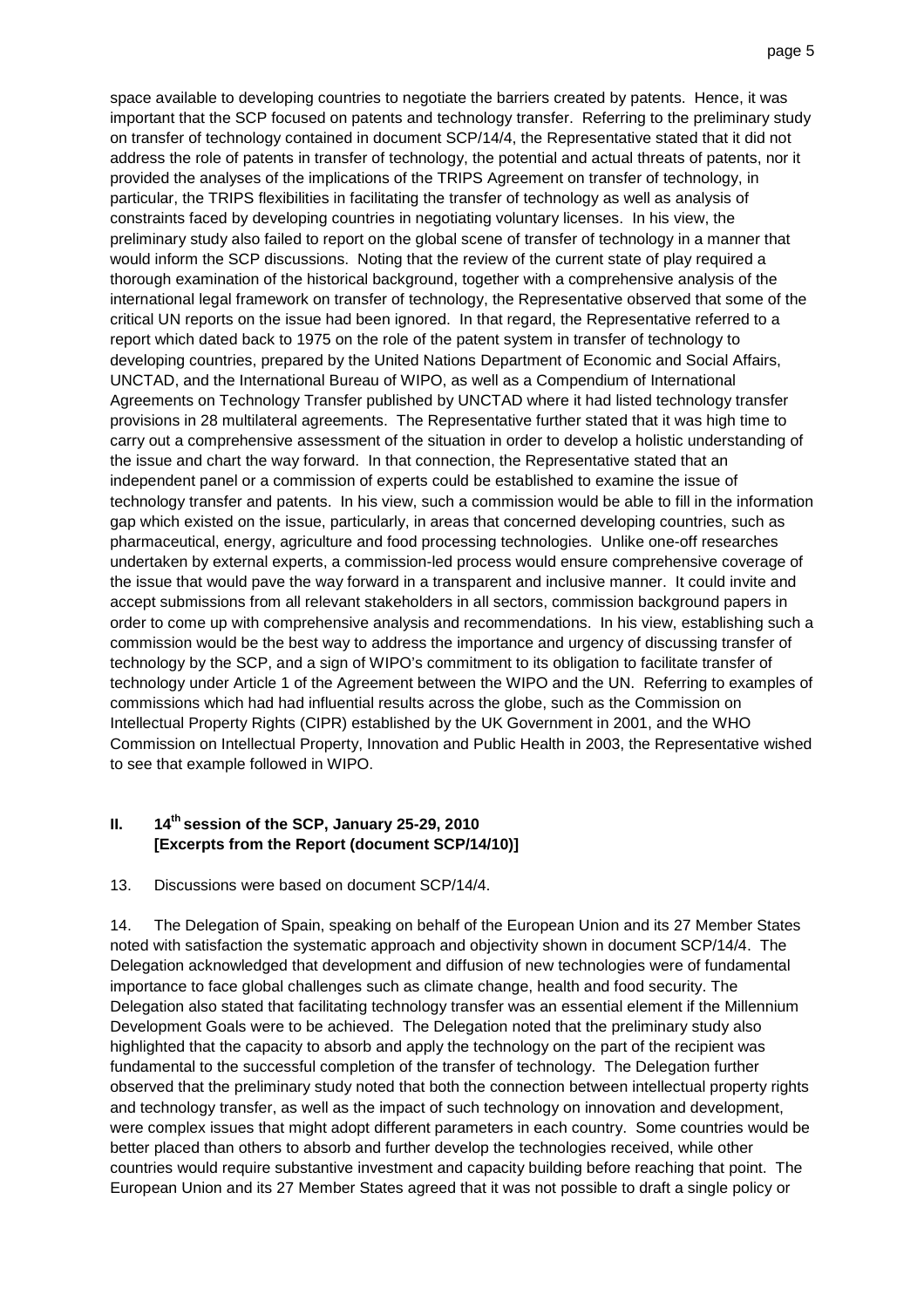space available to developing countries to negotiate the barriers created by patents. Hence, it was important that the SCP focused on patents and technology transfer. Referring to the preliminary study on transfer of technology contained in document SCP/14/4, the Representative stated that it did not address the role of patents in transfer of technology, the potential and actual threats of patents, nor it provided the analyses of the implications of the TRIPS Agreement on transfer of technology, in particular, the TRIPS flexibilities in facilitating the transfer of technology as well as analysis of constraints faced by developing countries in negotiating voluntary licenses. In his view, the preliminary study also failed to report on the global scene of transfer of technology in a manner that would inform the SCP discussions. Noting that the review of the current state of play required a thorough examination of the historical background, together with a comprehensive analysis of the international legal framework on transfer of technology, the Representative observed that some of the critical UN reports on the issue had been ignored. In that regard, the Representative referred to a report which dated back to 1975 on the role of the patent system in transfer of technology to developing countries, prepared by the United Nations Department of Economic and Social Affairs, UNCTAD, and the International Bureau of WIPO, as well as a Compendium of International Agreements on Technology Transfer published by UNCTAD where it had listed technology transfer provisions in 28 multilateral agreements. The Representative further stated that it was high time to carry out a comprehensive assessment of the situation in order to develop a holistic understanding of the issue and chart the way forward. In that connection, the Representative stated that an independent panel or a commission of experts could be established to examine the issue of technology transfer and patents. In his view, such a commission would be able to fill in the information gap which existed on the issue, particularly, in areas that concerned developing countries, such as pharmaceutical, energy, agriculture and food processing technologies. Unlike one-off researches undertaken by external experts, a commission-led process would ensure comprehensive coverage of the issue that would pave the way forward in a transparent and inclusive manner. It could invite and accept submissions from all relevant stakeholders in all sectors, commission background papers in order to come up with comprehensive analysis and recommendations. In his view, establishing such a commission would be the best way to address the importance and urgency of discussing transfer of technology by the SCP, and a sign of WIPO's commitment to its obligation to facilitate transfer of technology under Article 1 of the Agreement between the WIPO and the UN. Referring to examples of commissions which had had influential results across the globe, such as the Commission on Intellectual Property Rights (CIPR) established by the UK Government in 2001, and the WHO Commission on Intellectual Property, Innovation and Public Health in 2003, the Representative wished to see that example followed in WIPO.

## **II. 14th session of the SCP, January 25-29, 2010 [Excerpts from the Report (document SCP/14/10)]**

13. Discussions were based on document SCP/14/4.

14. The Delegation of Spain, speaking on behalf of the European Union and its 27 Member States noted with satisfaction the systematic approach and objectivity shown in document SCP/14/4. The Delegation acknowledged that development and diffusion of new technologies were of fundamental importance to face global challenges such as climate change, health and food security. The Delegation also stated that facilitating technology transfer was an essential element if the Millennium Development Goals were to be achieved. The Delegation noted that the preliminary study also highlighted that the capacity to absorb and apply the technology on the part of the recipient was fundamental to the successful completion of the transfer of technology. The Delegation further observed that the preliminary study noted that both the connection between intellectual property rights and technology transfer, as well as the impact of such technology on innovation and development, were complex issues that might adopt different parameters in each country. Some countries would be better placed than others to absorb and further develop the technologies received, while other countries would require substantive investment and capacity building before reaching that point. The European Union and its 27 Member States agreed that it was not possible to draft a single policy or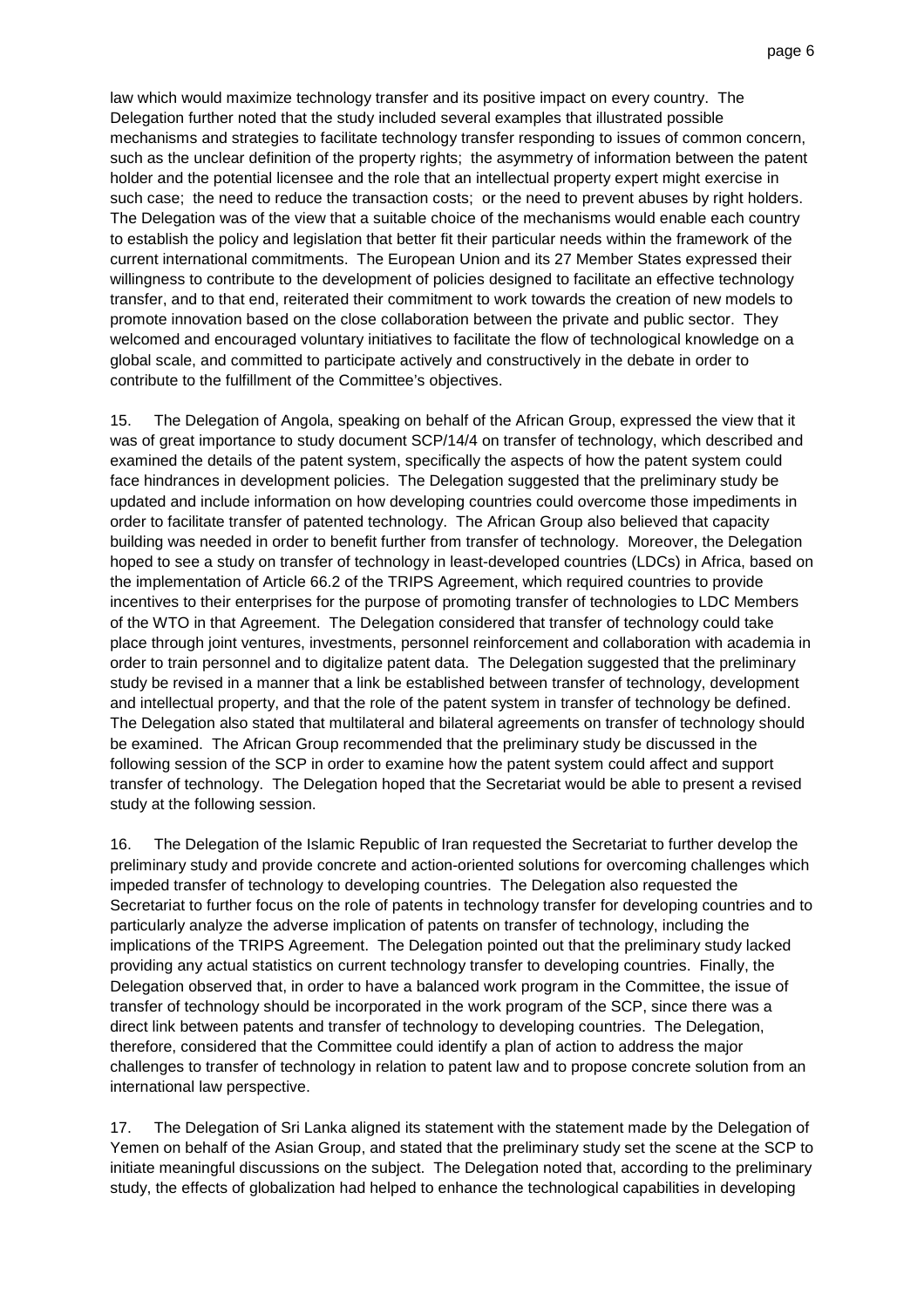law which would maximize technology transfer and its positive impact on every country. The Delegation further noted that the study included several examples that illustrated possible mechanisms and strategies to facilitate technology transfer responding to issues of common concern, such as the unclear definition of the property rights; the asymmetry of information between the patent holder and the potential licensee and the role that an intellectual property expert might exercise in such case; the need to reduce the transaction costs; or the need to prevent abuses by right holders. The Delegation was of the view that a suitable choice of the mechanisms would enable each country to establish the policy and legislation that better fit their particular needs within the framework of the current international commitments. The European Union and its 27 Member States expressed their willingness to contribute to the development of policies designed to facilitate an effective technology transfer, and to that end, reiterated their commitment to work towards the creation of new models to promote innovation based on the close collaboration between the private and public sector. They welcomed and encouraged voluntary initiatives to facilitate the flow of technological knowledge on a global scale, and committed to participate actively and constructively in the debate in order to contribute to the fulfillment of the Committee's objectives.

15. The Delegation of Angola, speaking on behalf of the African Group, expressed the view that it was of great importance to study document SCP/14/4 on transfer of technology, which described and examined the details of the patent system, specifically the aspects of how the patent system could face hindrances in development policies. The Delegation suggested that the preliminary study be updated and include information on how developing countries could overcome those impediments in order to facilitate transfer of patented technology. The African Group also believed that capacity building was needed in order to benefit further from transfer of technology. Moreover, the Delegation hoped to see a study on transfer of technology in least-developed countries (LDCs) in Africa, based on the implementation of Article 66.2 of the TRIPS Agreement, which required countries to provide incentives to their enterprises for the purpose of promoting transfer of technologies to LDC Members of the WTO in that Agreement. The Delegation considered that transfer of technology could take place through joint ventures, investments, personnel reinforcement and collaboration with academia in order to train personnel and to digitalize patent data. The Delegation suggested that the preliminary study be revised in a manner that a link be established between transfer of technology, development and intellectual property, and that the role of the patent system in transfer of technology be defined. The Delegation also stated that multilateral and bilateral agreements on transfer of technology should be examined. The African Group recommended that the preliminary study be discussed in the following session of the SCP in order to examine how the patent system could affect and support transfer of technology. The Delegation hoped that the Secretariat would be able to present a revised study at the following session.

16. The Delegation of the Islamic Republic of Iran requested the Secretariat to further develop the preliminary study and provide concrete and action-oriented solutions for overcoming challenges which impeded transfer of technology to developing countries. The Delegation also requested the Secretariat to further focus on the role of patents in technology transfer for developing countries and to particularly analyze the adverse implication of patents on transfer of technology, including the implications of the TRIPS Agreement. The Delegation pointed out that the preliminary study lacked providing any actual statistics on current technology transfer to developing countries. Finally, the Delegation observed that, in order to have a balanced work program in the Committee, the issue of transfer of technology should be incorporated in the work program of the SCP, since there was a direct link between patents and transfer of technology to developing countries. The Delegation, therefore, considered that the Committee could identify a plan of action to address the major challenges to transfer of technology in relation to patent law and to propose concrete solution from an international law perspective.

17. The Delegation of Sri Lanka aligned its statement with the statement made by the Delegation of Yemen on behalf of the Asian Group, and stated that the preliminary study set the scene at the SCP to initiate meaningful discussions on the subject. The Delegation noted that, according to the preliminary study, the effects of globalization had helped to enhance the technological capabilities in developing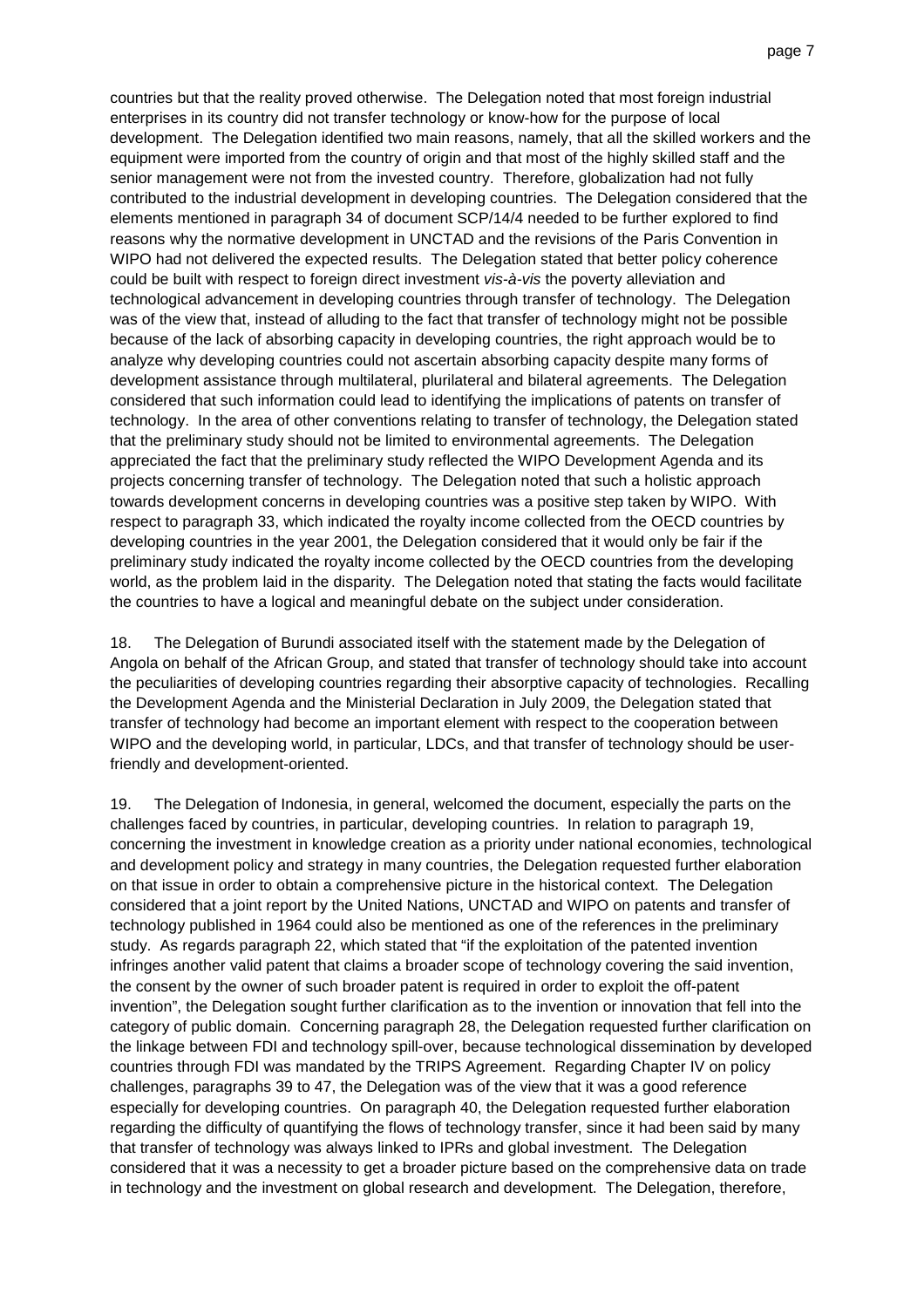countries but that the reality proved otherwise. The Delegation noted that most foreign industrial enterprises in its country did not transfer technology or know-how for the purpose of local development. The Delegation identified two main reasons, namely, that all the skilled workers and the equipment were imported from the country of origin and that most of the highly skilled staff and the senior management were not from the invested country. Therefore, globalization had not fully contributed to the industrial development in developing countries. The Delegation considered that the elements mentioned in paragraph 34 of document SCP/14/4 needed to be further explored to find reasons why the normative development in UNCTAD and the revisions of the Paris Convention in WIPO had not delivered the expected results. The Delegation stated that better policy coherence could be built with respect to foreign direct investment vis-à-vis the poverty alleviation and technological advancement in developing countries through transfer of technology. The Delegation was of the view that, instead of alluding to the fact that transfer of technology might not be possible because of the lack of absorbing capacity in developing countries, the right approach would be to analyze why developing countries could not ascertain absorbing capacity despite many forms of development assistance through multilateral, plurilateral and bilateral agreements. The Delegation considered that such information could lead to identifying the implications of patents on transfer of technology. In the area of other conventions relating to transfer of technology, the Delegation stated that the preliminary study should not be limited to environmental agreements. The Delegation appreciated the fact that the preliminary study reflected the WIPO Development Agenda and its projects concerning transfer of technology. The Delegation noted that such a holistic approach towards development concerns in developing countries was a positive step taken by WIPO. With respect to paragraph 33, which indicated the royalty income collected from the OECD countries by developing countries in the year 2001, the Delegation considered that it would only be fair if the preliminary study indicated the royalty income collected by the OECD countries from the developing world, as the problem laid in the disparity. The Delegation noted that stating the facts would facilitate the countries to have a logical and meaningful debate on the subject under consideration.

18. The Delegation of Burundi associated itself with the statement made by the Delegation of Angola on behalf of the African Group, and stated that transfer of technology should take into account the peculiarities of developing countries regarding their absorptive capacity of technologies. Recalling the Development Agenda and the Ministerial Declaration in July 2009, the Delegation stated that transfer of technology had become an important element with respect to the cooperation between WIPO and the developing world, in particular, LDCs, and that transfer of technology should be userfriendly and development-oriented.

19. The Delegation of Indonesia, in general, welcomed the document, especially the parts on the challenges faced by countries, in particular, developing countries. In relation to paragraph 19, concerning the investment in knowledge creation as a priority under national economies, technological and development policy and strategy in many countries, the Delegation requested further elaboration on that issue in order to obtain a comprehensive picture in the historical context. The Delegation considered that a joint report by the United Nations, UNCTAD and WIPO on patents and transfer of technology published in 1964 could also be mentioned as one of the references in the preliminary study. As regards paragraph 22, which stated that "if the exploitation of the patented invention infringes another valid patent that claims a broader scope of technology covering the said invention, the consent by the owner of such broader patent is required in order to exploit the off-patent invention", the Delegation sought further clarification as to the invention or innovation that fell into the category of public domain. Concerning paragraph 28, the Delegation requested further clarification on the linkage between FDI and technology spill-over, because technological dissemination by developed countries through FDI was mandated by the TRIPS Agreement. Regarding Chapter IV on policy challenges, paragraphs 39 to 47, the Delegation was of the view that it was a good reference especially for developing countries. On paragraph 40, the Delegation requested further elaboration regarding the difficulty of quantifying the flows of technology transfer, since it had been said by many that transfer of technology was always linked to IPRs and global investment. The Delegation considered that it was a necessity to get a broader picture based on the comprehensive data on trade in technology and the investment on global research and development. The Delegation, therefore,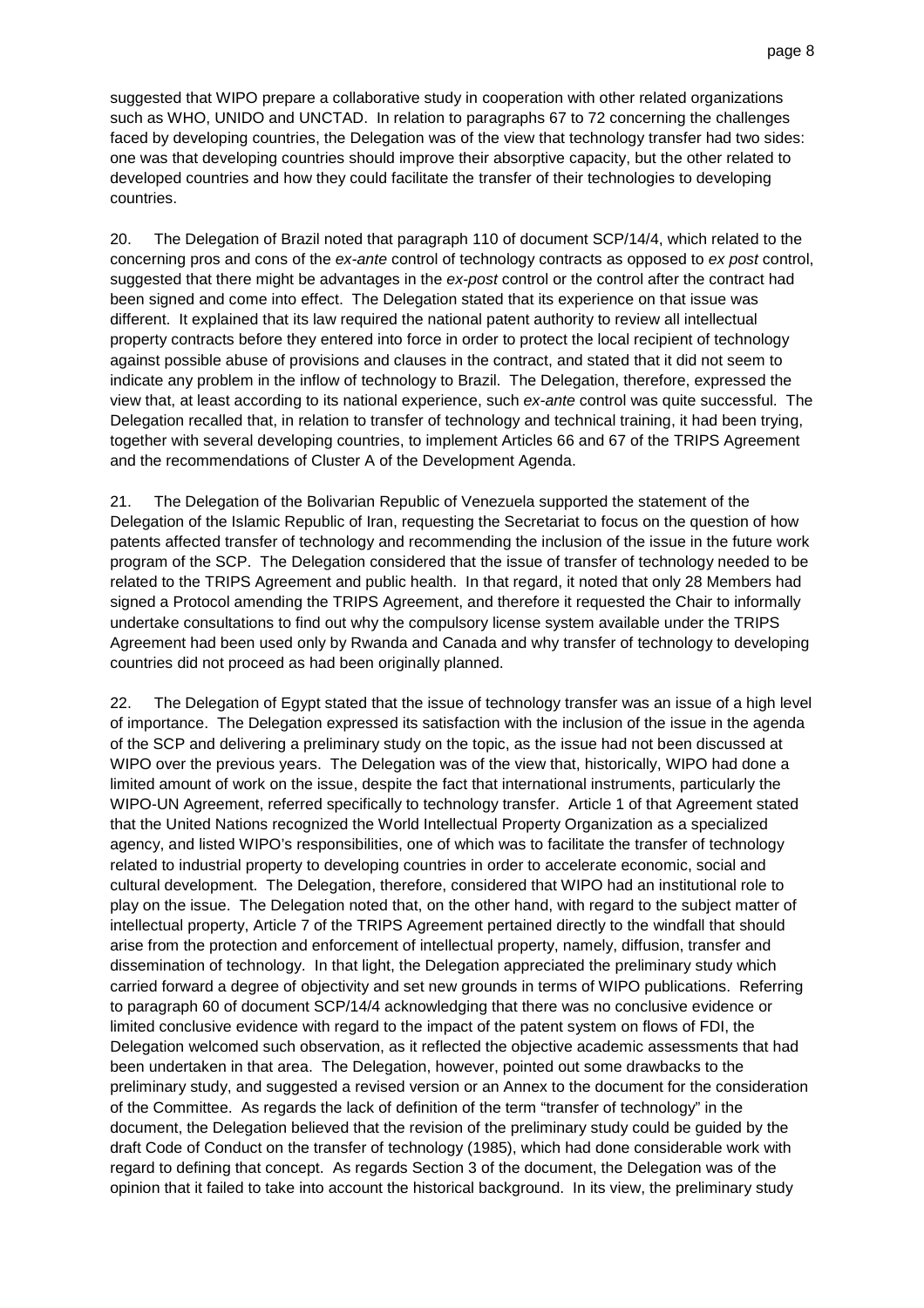suggested that WIPO prepare a collaborative study in cooperation with other related organizations such as WHO, UNIDO and UNCTAD. In relation to paragraphs 67 to 72 concerning the challenges faced by developing countries, the Delegation was of the view that technology transfer had two sides: one was that developing countries should improve their absorptive capacity, but the other related to developed countries and how they could facilitate the transfer of their technologies to developing countries.

20. The Delegation of Brazil noted that paragraph 110 of document SCP/14/4, which related to the concerning pros and cons of the ex-ante control of technology contracts as opposed to ex post control, suggested that there might be advantages in the ex-post control or the control after the contract had been signed and come into effect. The Delegation stated that its experience on that issue was different. It explained that its law required the national patent authority to review all intellectual property contracts before they entered into force in order to protect the local recipient of technology against possible abuse of provisions and clauses in the contract, and stated that it did not seem to indicate any problem in the inflow of technology to Brazil. The Delegation, therefore, expressed the view that, at least according to its national experience, such ex-ante control was quite successful. The Delegation recalled that, in relation to transfer of technology and technical training, it had been trying, together with several developing countries, to implement Articles 66 and 67 of the TRIPS Agreement and the recommendations of Cluster A of the Development Agenda.

21. The Delegation of the Bolivarian Republic of Venezuela supported the statement of the Delegation of the Islamic Republic of Iran, requesting the Secretariat to focus on the question of how patents affected transfer of technology and recommending the inclusion of the issue in the future work program of the SCP. The Delegation considered that the issue of transfer of technology needed to be related to the TRIPS Agreement and public health. In that regard, it noted that only 28 Members had signed a Protocol amending the TRIPS Agreement, and therefore it requested the Chair to informally undertake consultations to find out why the compulsory license system available under the TRIPS Agreement had been used only by Rwanda and Canada and why transfer of technology to developing countries did not proceed as had been originally planned.

22. The Delegation of Egypt stated that the issue of technology transfer was an issue of a high level of importance. The Delegation expressed its satisfaction with the inclusion of the issue in the agenda of the SCP and delivering a preliminary study on the topic, as the issue had not been discussed at WIPO over the previous years. The Delegation was of the view that, historically, WIPO had done a limited amount of work on the issue, despite the fact that international instruments, particularly the WIPO-UN Agreement, referred specifically to technology transfer. Article 1 of that Agreement stated that the United Nations recognized the World Intellectual Property Organization as a specialized agency, and listed WIPO's responsibilities, one of which was to facilitate the transfer of technology related to industrial property to developing countries in order to accelerate economic, social and cultural development. The Delegation, therefore, considered that WIPO had an institutional role to play on the issue. The Delegation noted that, on the other hand, with regard to the subject matter of intellectual property, Article 7 of the TRIPS Agreement pertained directly to the windfall that should arise from the protection and enforcement of intellectual property, namely, diffusion, transfer and dissemination of technology. In that light, the Delegation appreciated the preliminary study which carried forward a degree of objectivity and set new grounds in terms of WIPO publications. Referring to paragraph 60 of document SCP/14/4 acknowledging that there was no conclusive evidence or limited conclusive evidence with regard to the impact of the patent system on flows of FDI, the Delegation welcomed such observation, as it reflected the objective academic assessments that had been undertaken in that area. The Delegation, however, pointed out some drawbacks to the preliminary study, and suggested a revised version or an Annex to the document for the consideration of the Committee. As regards the lack of definition of the term "transfer of technology" in the document, the Delegation believed that the revision of the preliminary study could be guided by the draft Code of Conduct on the transfer of technology (1985), which had done considerable work with regard to defining that concept. As regards Section 3 of the document, the Delegation was of the opinion that it failed to take into account the historical background. In its view, the preliminary study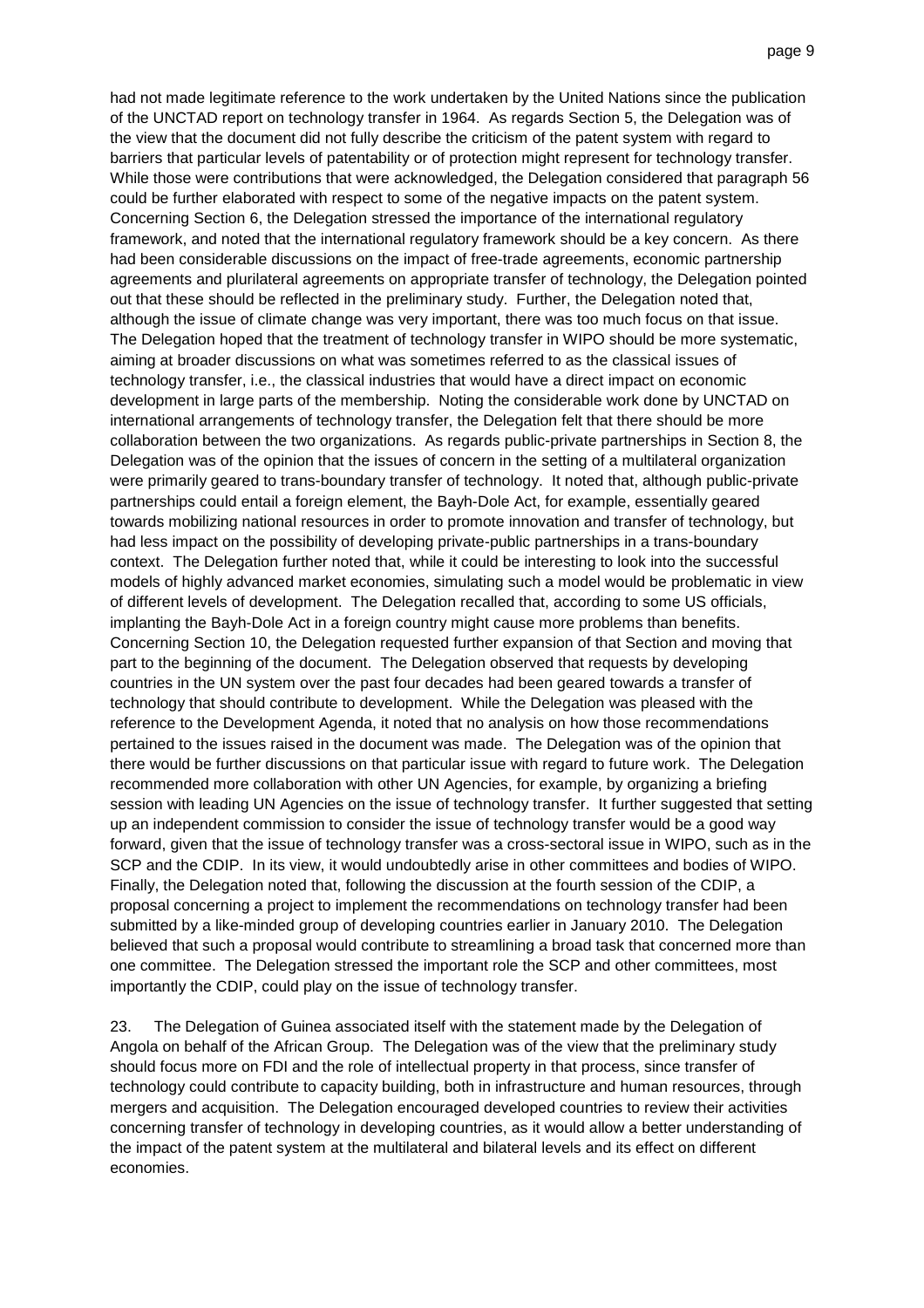had not made legitimate reference to the work undertaken by the United Nations since the publication of the UNCTAD report on technology transfer in 1964. As regards Section 5, the Delegation was of the view that the document did not fully describe the criticism of the patent system with regard to barriers that particular levels of patentability or of protection might represent for technology transfer. While those were contributions that were acknowledged, the Delegation considered that paragraph 56 could be further elaborated with respect to some of the negative impacts on the patent system. Concerning Section 6, the Delegation stressed the importance of the international regulatory framework, and noted that the international regulatory framework should be a key concern. As there had been considerable discussions on the impact of free-trade agreements, economic partnership agreements and plurilateral agreements on appropriate transfer of technology, the Delegation pointed out that these should be reflected in the preliminary study. Further, the Delegation noted that, although the issue of climate change was very important, there was too much focus on that issue. The Delegation hoped that the treatment of technology transfer in WIPO should be more systematic, aiming at broader discussions on what was sometimes referred to as the classical issues of technology transfer, i.e., the classical industries that would have a direct impact on economic development in large parts of the membership. Noting the considerable work done by UNCTAD on international arrangements of technology transfer, the Delegation felt that there should be more collaboration between the two organizations. As regards public-private partnerships in Section 8, the Delegation was of the opinion that the issues of concern in the setting of a multilateral organization were primarily geared to trans-boundary transfer of technology. It noted that, although public-private partnerships could entail a foreign element, the Bayh-Dole Act, for example, essentially geared towards mobilizing national resources in order to promote innovation and transfer of technology, but had less impact on the possibility of developing private-public partnerships in a trans-boundary context. The Delegation further noted that, while it could be interesting to look into the successful models of highly advanced market economies, simulating such a model would be problematic in view of different levels of development. The Delegation recalled that, according to some US officials, implanting the Bayh-Dole Act in a foreign country might cause more problems than benefits. Concerning Section 10, the Delegation requested further expansion of that Section and moving that part to the beginning of the document. The Delegation observed that requests by developing countries in the UN system over the past four decades had been geared towards a transfer of technology that should contribute to development. While the Delegation was pleased with the reference to the Development Agenda, it noted that no analysis on how those recommendations pertained to the issues raised in the document was made. The Delegation was of the opinion that there would be further discussions on that particular issue with regard to future work. The Delegation recommended more collaboration with other UN Agencies, for example, by organizing a briefing session with leading UN Agencies on the issue of technology transfer. It further suggested that setting up an independent commission to consider the issue of technology transfer would be a good way forward, given that the issue of technology transfer was a cross-sectoral issue in WIPO, such as in the SCP and the CDIP. In its view, it would undoubtedly arise in other committees and bodies of WIPO. Finally, the Delegation noted that, following the discussion at the fourth session of the CDIP, a proposal concerning a project to implement the recommendations on technology transfer had been submitted by a like-minded group of developing countries earlier in January 2010. The Delegation believed that such a proposal would contribute to streamlining a broad task that concerned more than one committee. The Delegation stressed the important role the SCP and other committees, most importantly the CDIP, could play on the issue of technology transfer.

23. The Delegation of Guinea associated itself with the statement made by the Delegation of Angola on behalf of the African Group. The Delegation was of the view that the preliminary study should focus more on FDI and the role of intellectual property in that process, since transfer of technology could contribute to capacity building, both in infrastructure and human resources, through mergers and acquisition. The Delegation encouraged developed countries to review their activities concerning transfer of technology in developing countries, as it would allow a better understanding of the impact of the patent system at the multilateral and bilateral levels and its effect on different economies.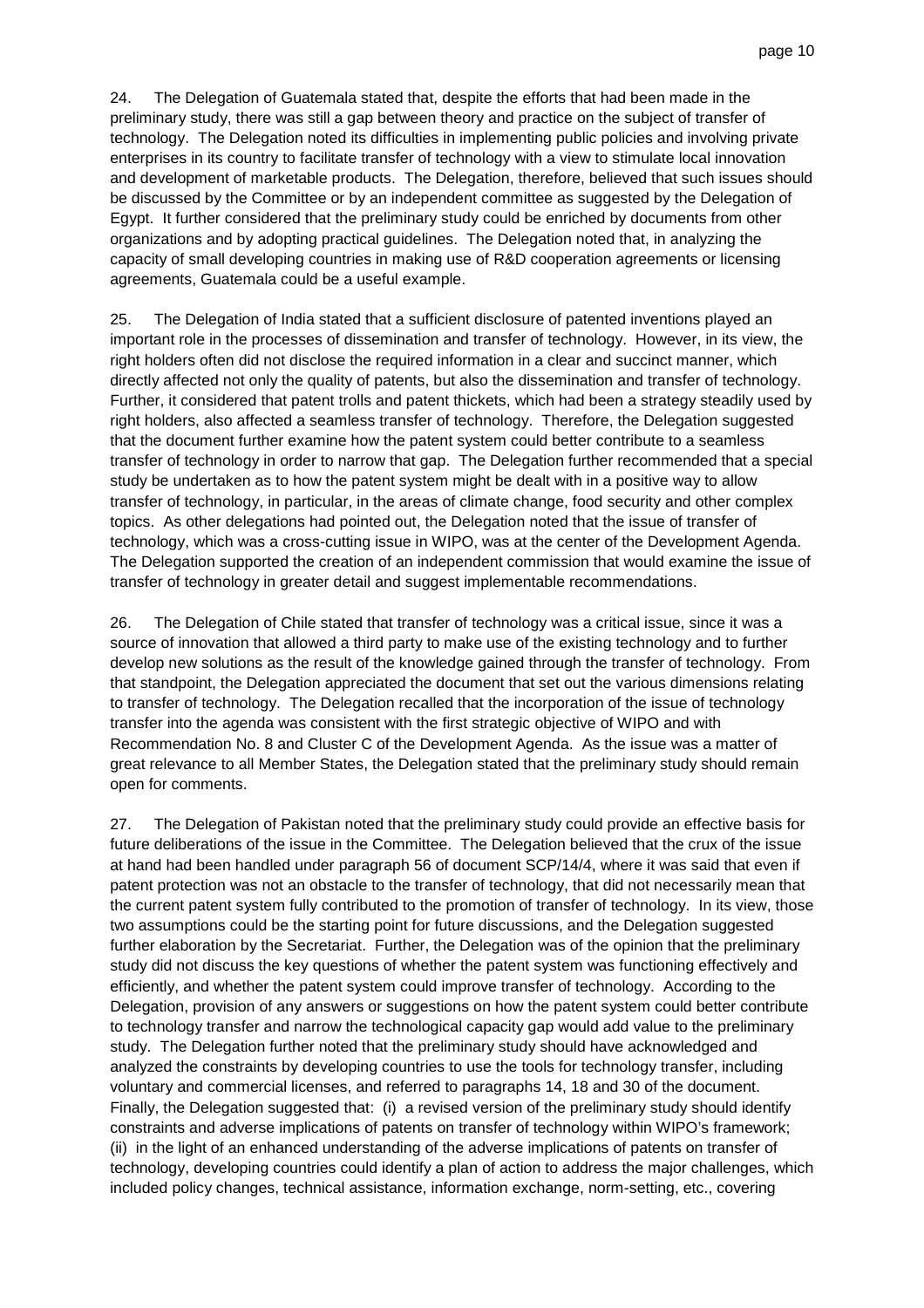24. The Delegation of Guatemala stated that, despite the efforts that had been made in the preliminary study, there was still a gap between theory and practice on the subject of transfer of technology. The Delegation noted its difficulties in implementing public policies and involving private enterprises in its country to facilitate transfer of technology with a view to stimulate local innovation and development of marketable products. The Delegation, therefore, believed that such issues should be discussed by the Committee or by an independent committee as suggested by the Delegation of Egypt. It further considered that the preliminary study could be enriched by documents from other organizations and by adopting practical guidelines. The Delegation noted that, in analyzing the capacity of small developing countries in making use of R&D cooperation agreements or licensing agreements, Guatemala could be a useful example.

25. The Delegation of India stated that a sufficient disclosure of patented inventions played an important role in the processes of dissemination and transfer of technology. However, in its view, the right holders often did not disclose the required information in a clear and succinct manner, which directly affected not only the quality of patents, but also the dissemination and transfer of technology. Further, it considered that patent trolls and patent thickets, which had been a strategy steadily used by right holders, also affected a seamless transfer of technology. Therefore, the Delegation suggested that the document further examine how the patent system could better contribute to a seamless transfer of technology in order to narrow that gap. The Delegation further recommended that a special study be undertaken as to how the patent system might be dealt with in a positive way to allow transfer of technology, in particular, in the areas of climate change, food security and other complex topics. As other delegations had pointed out, the Delegation noted that the issue of transfer of technology, which was a cross-cutting issue in WIPO, was at the center of the Development Agenda. The Delegation supported the creation of an independent commission that would examine the issue of transfer of technology in greater detail and suggest implementable recommendations.

26. The Delegation of Chile stated that transfer of technology was a critical issue, since it was a source of innovation that allowed a third party to make use of the existing technology and to further develop new solutions as the result of the knowledge gained through the transfer of technology. From that standpoint, the Delegation appreciated the document that set out the various dimensions relating to transfer of technology. The Delegation recalled that the incorporation of the issue of technology transfer into the agenda was consistent with the first strategic objective of WIPO and with Recommendation No. 8 and Cluster C of the Development Agenda. As the issue was a matter of great relevance to all Member States, the Delegation stated that the preliminary study should remain open for comments.

27. The Delegation of Pakistan noted that the preliminary study could provide an effective basis for future deliberations of the issue in the Committee. The Delegation believed that the crux of the issue at hand had been handled under paragraph 56 of document SCP/14/4, where it was said that even if patent protection was not an obstacle to the transfer of technology, that did not necessarily mean that the current patent system fully contributed to the promotion of transfer of technology. In its view, those two assumptions could be the starting point for future discussions, and the Delegation suggested further elaboration by the Secretariat. Further, the Delegation was of the opinion that the preliminary study did not discuss the key questions of whether the patent system was functioning effectively and efficiently, and whether the patent system could improve transfer of technology. According to the Delegation, provision of any answers or suggestions on how the patent system could better contribute to technology transfer and narrow the technological capacity gap would add value to the preliminary study. The Delegation further noted that the preliminary study should have acknowledged and analyzed the constraints by developing countries to use the tools for technology transfer, including voluntary and commercial licenses, and referred to paragraphs 14, 18 and 30 of the document. Finally, the Delegation suggested that: (i) a revised version of the preliminary study should identify constraints and adverse implications of patents on transfer of technology within WIPO's framework; (ii) in the light of an enhanced understanding of the adverse implications of patents on transfer of technology, developing countries could identify a plan of action to address the major challenges, which included policy changes, technical assistance, information exchange, norm-setting, etc., covering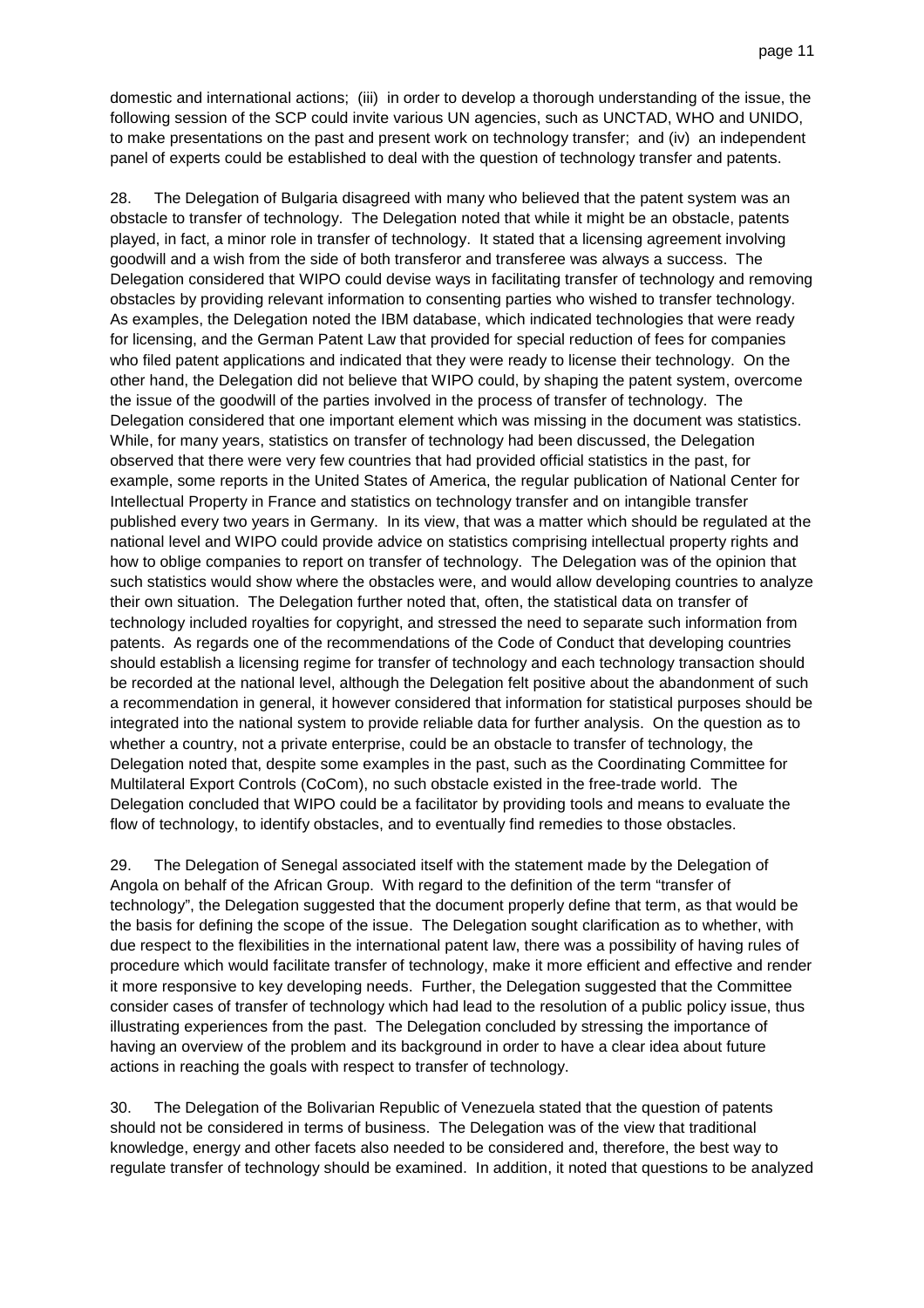domestic and international actions; (iii) in order to develop a thorough understanding of the issue, the following session of the SCP could invite various UN agencies, such as UNCTAD, WHO and UNIDO, to make presentations on the past and present work on technology transfer; and (iv) an independent panel of experts could be established to deal with the question of technology transfer and patents.

28. The Delegation of Bulgaria disagreed with many who believed that the patent system was an obstacle to transfer of technology. The Delegation noted that while it might be an obstacle, patents played, in fact, a minor role in transfer of technology. It stated that a licensing agreement involving goodwill and a wish from the side of both transferor and transferee was always a success. The Delegation considered that WIPO could devise ways in facilitating transfer of technology and removing obstacles by providing relevant information to consenting parties who wished to transfer technology. As examples, the Delegation noted the IBM database, which indicated technologies that were ready for licensing, and the German Patent Law that provided for special reduction of fees for companies who filed patent applications and indicated that they were ready to license their technology. On the other hand, the Delegation did not believe that WIPO could, by shaping the patent system, overcome the issue of the goodwill of the parties involved in the process of transfer of technology. The Delegation considered that one important element which was missing in the document was statistics. While, for many years, statistics on transfer of technology had been discussed, the Delegation observed that there were very few countries that had provided official statistics in the past, for example, some reports in the United States of America, the regular publication of National Center for Intellectual Property in France and statistics on technology transfer and on intangible transfer published every two years in Germany. In its view, that was a matter which should be regulated at the national level and WIPO could provide advice on statistics comprising intellectual property rights and how to oblige companies to report on transfer of technology. The Delegation was of the opinion that such statistics would show where the obstacles were, and would allow developing countries to analyze their own situation. The Delegation further noted that, often, the statistical data on transfer of technology included royalties for copyright, and stressed the need to separate such information from patents. As regards one of the recommendations of the Code of Conduct that developing countries should establish a licensing regime for transfer of technology and each technology transaction should be recorded at the national level, although the Delegation felt positive about the abandonment of such a recommendation in general, it however considered that information for statistical purposes should be integrated into the national system to provide reliable data for further analysis. On the question as to whether a country, not a private enterprise, could be an obstacle to transfer of technology, the Delegation noted that, despite some examples in the past, such as the Coordinating Committee for Multilateral Export Controls (CoCom), no such obstacle existed in the free-trade world. The Delegation concluded that WIPO could be a facilitator by providing tools and means to evaluate the flow of technology, to identify obstacles, and to eventually find remedies to those obstacles.

29. The Delegation of Senegal associated itself with the statement made by the Delegation of Angola on behalf of the African Group. With regard to the definition of the term "transfer of technology", the Delegation suggested that the document properly define that term, as that would be the basis for defining the scope of the issue. The Delegation sought clarification as to whether, with due respect to the flexibilities in the international patent law, there was a possibility of having rules of procedure which would facilitate transfer of technology, make it more efficient and effective and render it more responsive to key developing needs. Further, the Delegation suggested that the Committee consider cases of transfer of technology which had lead to the resolution of a public policy issue, thus illustrating experiences from the past. The Delegation concluded by stressing the importance of having an overview of the problem and its background in order to have a clear idea about future actions in reaching the goals with respect to transfer of technology.

30. The Delegation of the Bolivarian Republic of Venezuela stated that the question of patents should not be considered in terms of business. The Delegation was of the view that traditional knowledge, energy and other facets also needed to be considered and, therefore, the best way to regulate transfer of technology should be examined. In addition, it noted that questions to be analyzed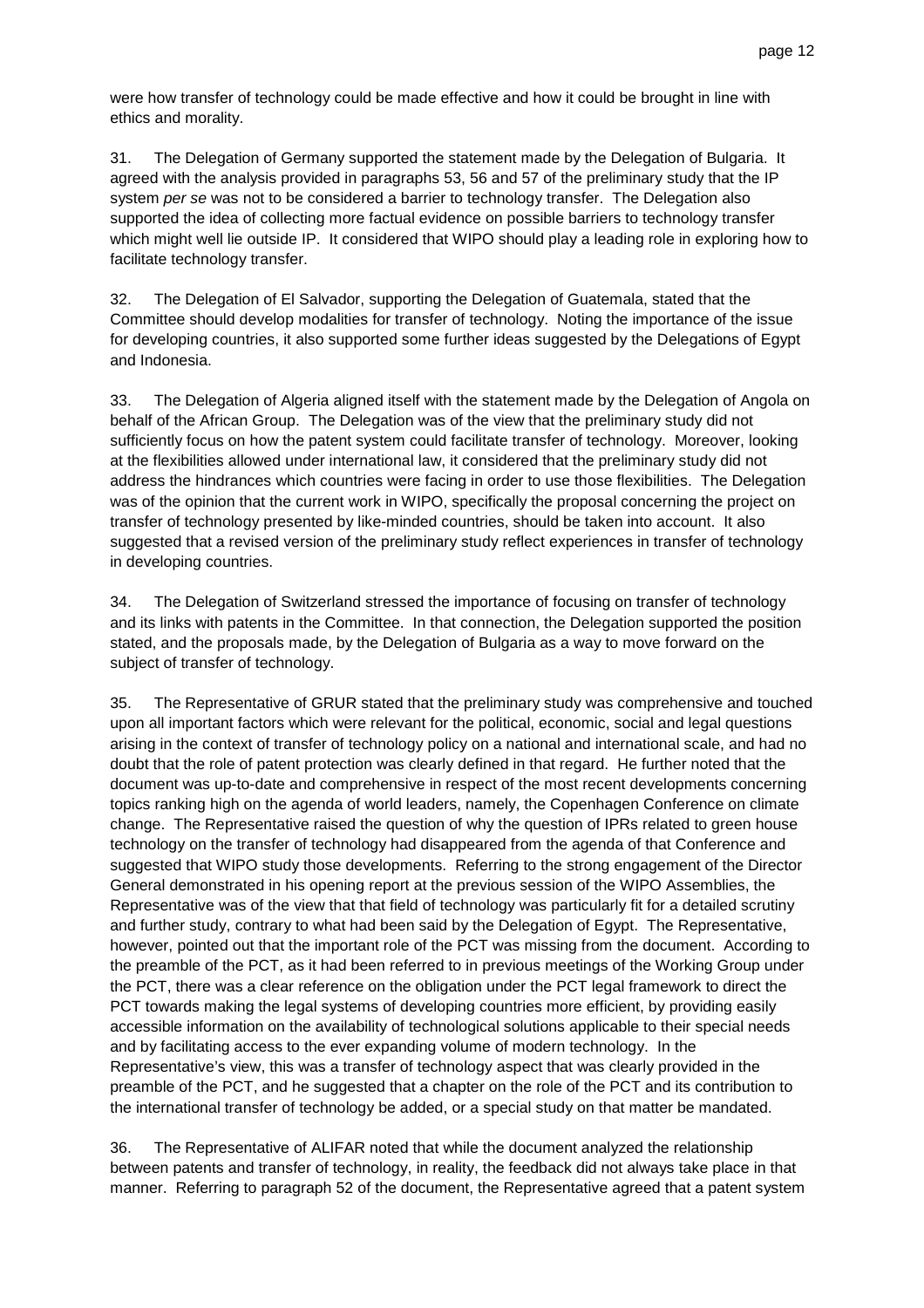were how transfer of technology could be made effective and how it could be brought in line with ethics and morality.

31. The Delegation of Germany supported the statement made by the Delegation of Bulgaria. It agreed with the analysis provided in paragraphs 53, 56 and 57 of the preliminary study that the IP system per se was not to be considered a barrier to technology transfer. The Delegation also supported the idea of collecting more factual evidence on possible barriers to technology transfer which might well lie outside IP. It considered that WIPO should play a leading role in exploring how to facilitate technology transfer.

32. The Delegation of El Salvador, supporting the Delegation of Guatemala, stated that the Committee should develop modalities for transfer of technology. Noting the importance of the issue for developing countries, it also supported some further ideas suggested by the Delegations of Egypt and Indonesia.

33. The Delegation of Algeria aligned itself with the statement made by the Delegation of Angola on behalf of the African Group. The Delegation was of the view that the preliminary study did not sufficiently focus on how the patent system could facilitate transfer of technology. Moreover, looking at the flexibilities allowed under international law, it considered that the preliminary study did not address the hindrances which countries were facing in order to use those flexibilities. The Delegation was of the opinion that the current work in WIPO, specifically the proposal concerning the project on transfer of technology presented by like-minded countries, should be taken into account. It also suggested that a revised version of the preliminary study reflect experiences in transfer of technology in developing countries.

34. The Delegation of Switzerland stressed the importance of focusing on transfer of technology and its links with patents in the Committee. In that connection, the Delegation supported the position stated, and the proposals made, by the Delegation of Bulgaria as a way to move forward on the subject of transfer of technology.

35. The Representative of GRUR stated that the preliminary study was comprehensive and touched upon all important factors which were relevant for the political, economic, social and legal questions arising in the context of transfer of technology policy on a national and international scale, and had no doubt that the role of patent protection was clearly defined in that regard. He further noted that the document was up-to-date and comprehensive in respect of the most recent developments concerning topics ranking high on the agenda of world leaders, namely, the Copenhagen Conference on climate change. The Representative raised the question of why the question of IPRs related to green house technology on the transfer of technology had disappeared from the agenda of that Conference and suggested that WIPO study those developments. Referring to the strong engagement of the Director General demonstrated in his opening report at the previous session of the WIPO Assemblies, the Representative was of the view that that field of technology was particularly fit for a detailed scrutiny and further study, contrary to what had been said by the Delegation of Egypt. The Representative, however, pointed out that the important role of the PCT was missing from the document. According to the preamble of the PCT, as it had been referred to in previous meetings of the Working Group under the PCT, there was a clear reference on the obligation under the PCT legal framework to direct the PCT towards making the legal systems of developing countries more efficient, by providing easily accessible information on the availability of technological solutions applicable to their special needs and by facilitating access to the ever expanding volume of modern technology. In the Representative's view, this was a transfer of technology aspect that was clearly provided in the preamble of the PCT, and he suggested that a chapter on the role of the PCT and its contribution to the international transfer of technology be added, or a special study on that matter be mandated.

36. The Representative of ALIFAR noted that while the document analyzed the relationship between patents and transfer of technology, in reality, the feedback did not always take place in that manner. Referring to paragraph 52 of the document, the Representative agreed that a patent system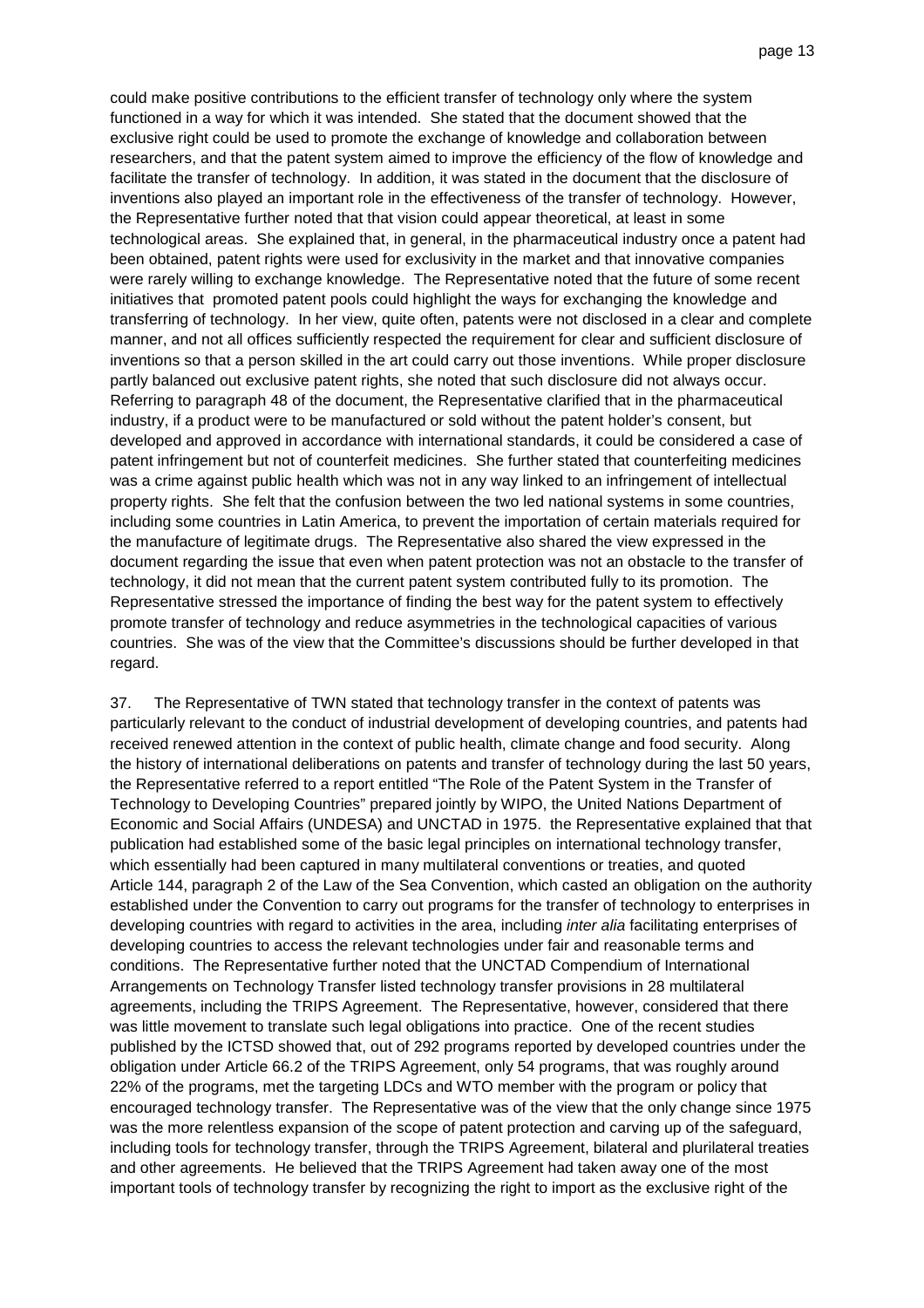could make positive contributions to the efficient transfer of technology only where the system functioned in a way for which it was intended. She stated that the document showed that the exclusive right could be used to promote the exchange of knowledge and collaboration between researchers, and that the patent system aimed to improve the efficiency of the flow of knowledge and facilitate the transfer of technology. In addition, it was stated in the document that the disclosure of inventions also played an important role in the effectiveness of the transfer of technology. However, the Representative further noted that that vision could appear theoretical, at least in some technological areas. She explained that, in general, in the pharmaceutical industry once a patent had been obtained, patent rights were used for exclusivity in the market and that innovative companies were rarely willing to exchange knowledge. The Representative noted that the future of some recent initiatives that promoted patent pools could highlight the ways for exchanging the knowledge and transferring of technology. In her view, quite often, patents were not disclosed in a clear and complete manner, and not all offices sufficiently respected the requirement for clear and sufficient disclosure of inventions so that a person skilled in the art could carry out those inventions. While proper disclosure partly balanced out exclusive patent rights, she noted that such disclosure did not always occur. Referring to paragraph 48 of the document, the Representative clarified that in the pharmaceutical industry, if a product were to be manufactured or sold without the patent holder's consent, but developed and approved in accordance with international standards, it could be considered a case of patent infringement but not of counterfeit medicines. She further stated that counterfeiting medicines was a crime against public health which was not in any way linked to an infringement of intellectual property rights. She felt that the confusion between the two led national systems in some countries, including some countries in Latin America, to prevent the importation of certain materials required for the manufacture of legitimate drugs. The Representative also shared the view expressed in the document regarding the issue that even when patent protection was not an obstacle to the transfer of technology, it did not mean that the current patent system contributed fully to its promotion. The Representative stressed the importance of finding the best way for the patent system to effectively promote transfer of technology and reduce asymmetries in the technological capacities of various countries. She was of the view that the Committee's discussions should be further developed in that regard.

37. The Representative of TWN stated that technology transfer in the context of patents was particularly relevant to the conduct of industrial development of developing countries, and patents had received renewed attention in the context of public health, climate change and food security. Along the history of international deliberations on patents and transfer of technology during the last 50 years, the Representative referred to a report entitled "The Role of the Patent System in the Transfer of Technology to Developing Countries" prepared jointly by WIPO, the United Nations Department of Economic and Social Affairs (UNDESA) and UNCTAD in 1975. the Representative explained that that publication had established some of the basic legal principles on international technology transfer, which essentially had been captured in many multilateral conventions or treaties, and quoted Article 144, paragraph 2 of the Law of the Sea Convention, which casted an obligation on the authority established under the Convention to carry out programs for the transfer of technology to enterprises in developing countries with regard to activities in the area, including inter alia facilitating enterprises of developing countries to access the relevant technologies under fair and reasonable terms and conditions. The Representative further noted that the UNCTAD Compendium of International Arrangements on Technology Transfer listed technology transfer provisions in 28 multilateral agreements, including the TRIPS Agreement. The Representative, however, considered that there was little movement to translate such legal obligations into practice. One of the recent studies published by the ICTSD showed that, out of 292 programs reported by developed countries under the obligation under Article 66.2 of the TRIPS Agreement, only 54 programs, that was roughly around 22% of the programs, met the targeting LDCs and WTO member with the program or policy that encouraged technology transfer. The Representative was of the view that the only change since 1975 was the more relentless expansion of the scope of patent protection and carving up of the safeguard, including tools for technology transfer, through the TRIPS Agreement, bilateral and plurilateral treaties and other agreements. He believed that the TRIPS Agreement had taken away one of the most important tools of technology transfer by recognizing the right to import as the exclusive right of the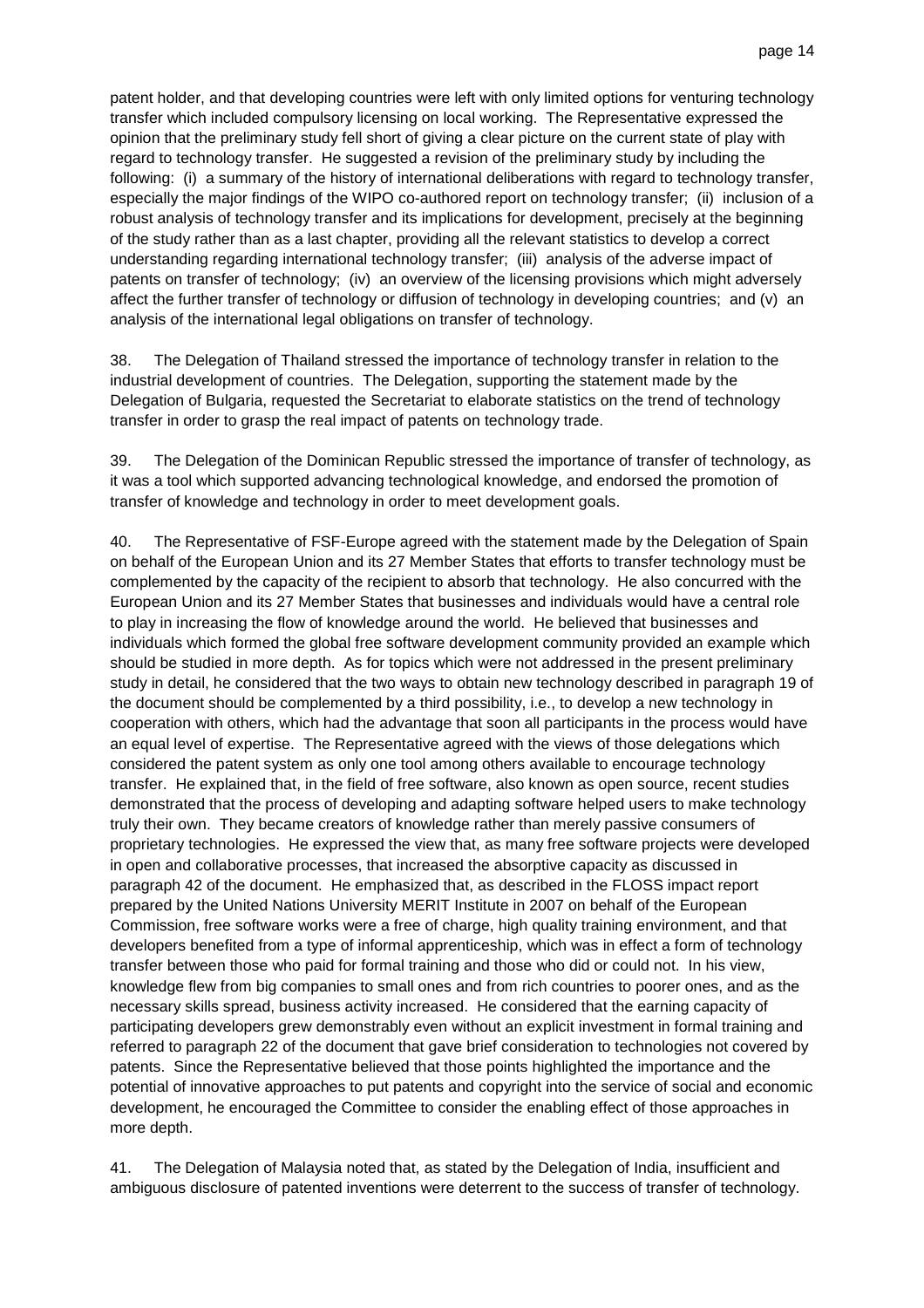patent holder, and that developing countries were left with only limited options for venturing technology transfer which included compulsory licensing on local working. The Representative expressed the opinion that the preliminary study fell short of giving a clear picture on the current state of play with regard to technology transfer. He suggested a revision of the preliminary study by including the following: (i) a summary of the history of international deliberations with regard to technology transfer, especially the major findings of the WIPO co-authored report on technology transfer; (ii) inclusion of a robust analysis of technology transfer and its implications for development, precisely at the beginning of the study rather than as a last chapter, providing all the relevant statistics to develop a correct understanding regarding international technology transfer; (iii) analysis of the adverse impact of patents on transfer of technology; (iv) an overview of the licensing provisions which might adversely affect the further transfer of technology or diffusion of technology in developing countries; and (v) an analysis of the international legal obligations on transfer of technology.

38. The Delegation of Thailand stressed the importance of technology transfer in relation to the industrial development of countries. The Delegation, supporting the statement made by the Delegation of Bulgaria, requested the Secretariat to elaborate statistics on the trend of technology transfer in order to grasp the real impact of patents on technology trade.

39. The Delegation of the Dominican Republic stressed the importance of transfer of technology, as it was a tool which supported advancing technological knowledge, and endorsed the promotion of transfer of knowledge and technology in order to meet development goals.

40. The Representative of FSF-Europe agreed with the statement made by the Delegation of Spain on behalf of the European Union and its 27 Member States that efforts to transfer technology must be complemented by the capacity of the recipient to absorb that technology. He also concurred with the European Union and its 27 Member States that businesses and individuals would have a central role to play in increasing the flow of knowledge around the world. He believed that businesses and individuals which formed the global free software development community provided an example which should be studied in more depth. As for topics which were not addressed in the present preliminary study in detail, he considered that the two ways to obtain new technology described in paragraph 19 of the document should be complemented by a third possibility, i.e., to develop a new technology in cooperation with others, which had the advantage that soon all participants in the process would have an equal level of expertise. The Representative agreed with the views of those delegations which considered the patent system as only one tool among others available to encourage technology transfer. He explained that, in the field of free software, also known as open source, recent studies demonstrated that the process of developing and adapting software helped users to make technology truly their own. They became creators of knowledge rather than merely passive consumers of proprietary technologies. He expressed the view that, as many free software projects were developed in open and collaborative processes, that increased the absorptive capacity as discussed in paragraph 42 of the document. He emphasized that, as described in the FLOSS impact report prepared by the United Nations University MERIT Institute in 2007 on behalf of the European Commission, free software works were a free of charge, high quality training environment, and that developers benefited from a type of informal apprenticeship, which was in effect a form of technology transfer between those who paid for formal training and those who did or could not. In his view, knowledge flew from big companies to small ones and from rich countries to poorer ones, and as the necessary skills spread, business activity increased. He considered that the earning capacity of participating developers grew demonstrably even without an explicit investment in formal training and referred to paragraph 22 of the document that gave brief consideration to technologies not covered by patents. Since the Representative believed that those points highlighted the importance and the potential of innovative approaches to put patents and copyright into the service of social and economic development, he encouraged the Committee to consider the enabling effect of those approaches in more depth.

41. The Delegation of Malaysia noted that, as stated by the Delegation of India, insufficient and ambiguous disclosure of patented inventions were deterrent to the success of transfer of technology.